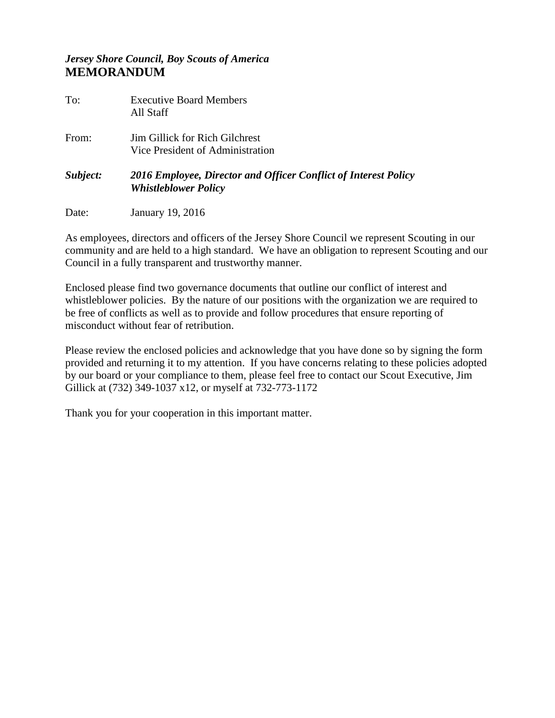## *Jersey Shore Council, Boy Scouts of America* **MEMORANDUM**

| To:      | <b>Executive Board Members</b><br>All Staff                                                    |
|----------|------------------------------------------------------------------------------------------------|
| From:    | <b>Jim Gillick for Rich Gilchrest</b><br>Vice President of Administration                      |
| Subject: | 2016 Employee, Director and Officer Conflict of Interest Policy<br><b>Whistleblower Policy</b> |
| Date:    | January 19, 2016                                                                               |

As employees, directors and officers of the Jersey Shore Council we represent Scouting in our community and are held to a high standard. We have an obligation to represent Scouting and our Council in a fully transparent and trustworthy manner.

Enclosed please find two governance documents that outline our conflict of interest and whistleblower policies. By the nature of our positions with the organization we are required to be free of conflicts as well as to provide and follow procedures that ensure reporting of misconduct without fear of retribution.

Please review the enclosed policies and acknowledge that you have done so by signing the form provided and returning it to my attention. If you have concerns relating to these policies adopted by our board or your compliance to them, please feel free to contact our Scout Executive, Jim Gillick at (732) 349-1037 x12, or myself at 732-773-1172

Thank you for your cooperation in this important matter.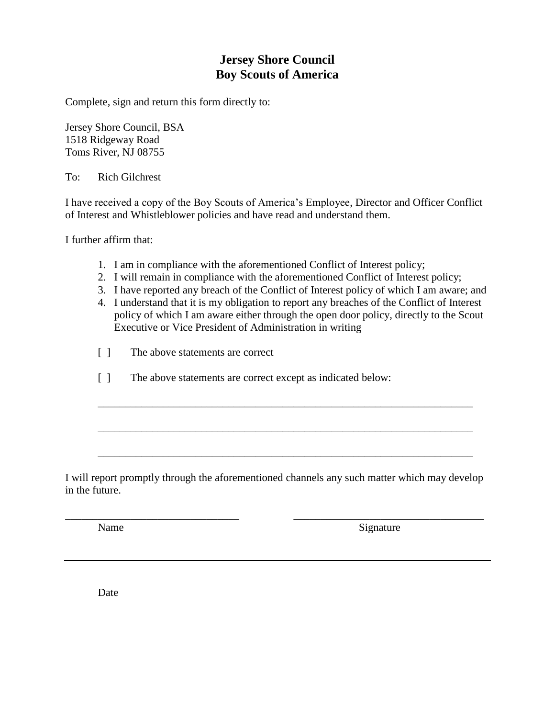# **Jersey Shore Council Boy Scouts of America**

Complete, sign and return this form directly to:

Jersey Shore Council, BSA 1518 Ridgeway Road Toms River, NJ 08755

To: Rich Gilchrest

I have received a copy of the Boy Scouts of America's Employee, Director and Officer Conflict of Interest and Whistleblower policies and have read and understand them.

I further affirm that:

- 1. I am in compliance with the aforementioned Conflict of Interest policy;
- 2. I will remain in compliance with the aforementioned Conflict of Interest policy;
- 3. I have reported any breach of the Conflict of Interest policy of which I am aware; and
- 4. I understand that it is my obligation to report any breaches of the Conflict of Interest policy of which I am aware either through the open door policy, directly to the Scout Executive or Vice President of Administration in writing

\_\_\_\_\_\_\_\_\_\_\_\_\_\_\_\_\_\_\_\_\_\_\_\_\_\_\_\_\_\_\_\_\_\_\_\_\_\_\_\_\_\_\_\_\_\_\_\_\_\_\_\_\_\_\_\_\_\_\_\_\_\_\_\_\_\_\_\_\_

\_\_\_\_\_\_\_\_\_\_\_\_\_\_\_\_\_\_\_\_\_\_\_\_\_\_\_\_\_\_\_\_\_\_\_\_\_\_\_\_\_\_\_\_\_\_\_\_\_\_\_\_\_\_\_\_\_\_\_\_\_\_\_\_\_\_\_\_\_

\_\_\_\_\_\_\_\_\_\_\_\_\_\_\_\_\_\_\_\_\_\_\_\_\_\_\_\_\_\_\_\_\_\_\_\_\_\_\_\_\_\_\_\_\_\_\_\_\_\_\_\_\_\_\_\_\_\_\_\_\_\_\_\_\_\_\_\_\_

- [ ] The above statements are correct
- [ ] The above statements are correct except as indicated below:

I will report promptly through the aforementioned channels any such matter which may develop in the future.

\_\_\_\_\_\_\_\_\_\_\_\_\_\_\_\_\_\_\_\_\_\_\_\_\_\_\_\_\_\_\_\_ \_\_\_\_\_\_\_\_\_\_\_\_\_\_\_\_\_\_\_\_\_\_\_\_\_\_\_\_\_\_\_\_\_\_\_

Name Signature

Date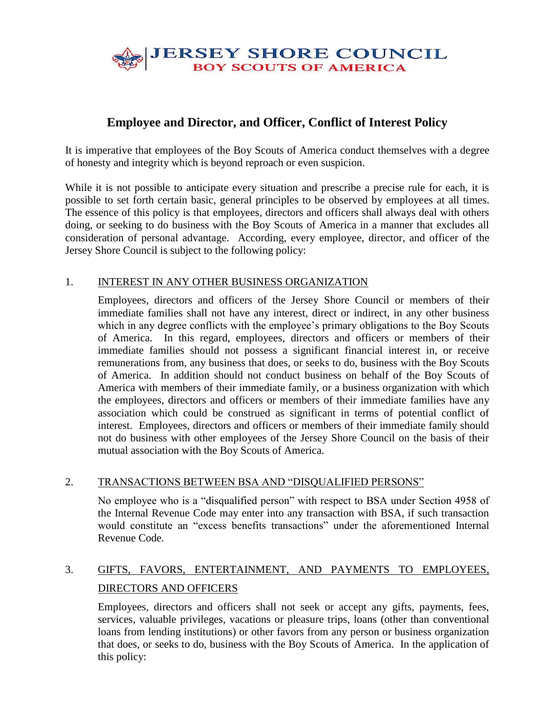

# **Employee and Director, and Officer, Conflict of Interest Policy**

It is imperative that employees of the Boy Scouts of America conduct themselves with a degree of honesty and integrity which is beyond reproach or even suspicion.

While it is not possible to anticipate every situation and prescribe a precise rule for each, it is possible to set forth certain basic, general principles to be observed by employees at all times. The essence of this policy is that employees, directors and officers shall always deal with others doing, or seeking to do business with the Boy Scouts of America in a manner that excludes all consideration of personal advantage. According, every employee, director, and officer of the Jersey Shore Council is subject to the following policy:

### 1. INTEREST IN ANY OTHER BUSINESS ORGANIZATION

Employees, directors and officers of the Jersey Shore Council or members of their immediate families shall not have any interest, direct or indirect, in any other business which in any degree conflicts with the employee's primary obligations to the Boy Scouts of America. In this regard, employees, directors and officers or members of their immediate families should not possess a significant financial interest in, or receive remunerations from, any business that does, or seeks to do, business with the Boy Scouts of America. In addition should not conduct business on behalf of the Boy Scouts of America with members of their immediate family, or a business organization with which the employees, directors and officers or members of their immediate families have any association which could be construed as significant in terms of potential conflict of interest. Employees, directors and officers or members of their immediate family should not do business with other employees of the Jersey Shore Council on the basis of their mutual association with the Boy Scouts of America.

#### 2. TRANSACTIONS BETWEEN BSA AND "DISQUALIFIED PERSONS"

No employee who is a "disqualified person" with respect to BSA under Section 4958 of the Internal Revenue Code may enter into any transaction with BSA, if such transaction would constitute an "excess benefits transactions" under the aforementioned Internal Revenue Code.

# 3. GIFTS, FAVORS, ENTERTAINMENT, AND PAYMENTS TO EMPLOYEES, DIRECTORS AND OFFICERS

Employees, directors and officers shall not seek or accept any gifts, payments, fees, services, valuable privileges, vacations or pleasure trips, loans (other than conventional loans from lending institutions) or other favors from any person or business organization that does, or seeks to do, business with the Boy Scouts of America. In the application of this policy: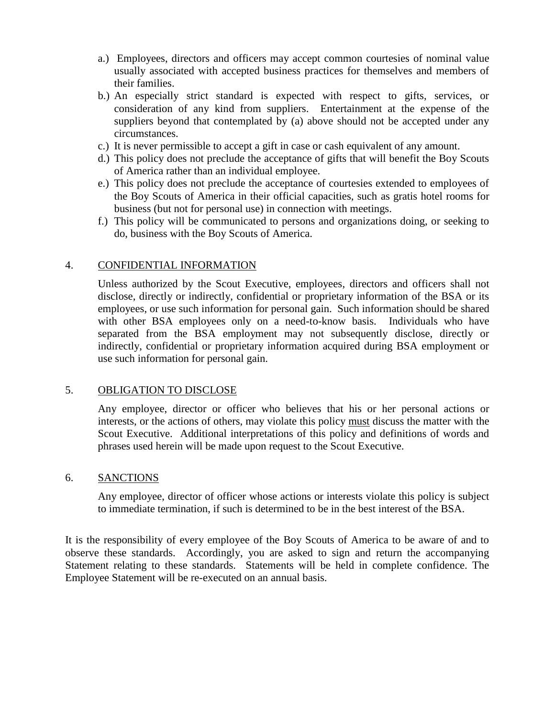- a.) Employees, directors and officers may accept common courtesies of nominal value usually associated with accepted business practices for themselves and members of their families.
- b.) An especially strict standard is expected with respect to gifts, services, or consideration of any kind from suppliers. Entertainment at the expense of the suppliers beyond that contemplated by (a) above should not be accepted under any circumstances.
- c.) It is never permissible to accept a gift in case or cash equivalent of any amount.
- d.) This policy does not preclude the acceptance of gifts that will benefit the Boy Scouts of America rather than an individual employee.
- e.) This policy does not preclude the acceptance of courtesies extended to employees of the Boy Scouts of America in their official capacities, such as gratis hotel rooms for business (but not for personal use) in connection with meetings.
- f.) This policy will be communicated to persons and organizations doing, or seeking to do, business with the Boy Scouts of America.

### 4. CONFIDENTIAL INFORMATION

Unless authorized by the Scout Executive, employees, directors and officers shall not disclose, directly or indirectly, confidential or proprietary information of the BSA or its employees, or use such information for personal gain. Such information should be shared with other BSA employees only on a need-to-know basis. Individuals who have separated from the BSA employment may not subsequently disclose, directly or indirectly, confidential or proprietary information acquired during BSA employment or use such information for personal gain.

#### 5. OBLIGATION TO DISCLOSE

Any employee, director or officer who believes that his or her personal actions or interests, or the actions of others, may violate this policy must discuss the matter with the Scout Executive. Additional interpretations of this policy and definitions of words and phrases used herein will be made upon request to the Scout Executive.

#### 6. SANCTIONS

Any employee, director of officer whose actions or interests violate this policy is subject to immediate termination, if such is determined to be in the best interest of the BSA.

It is the responsibility of every employee of the Boy Scouts of America to be aware of and to observe these standards. Accordingly, you are asked to sign and return the accompanying Statement relating to these standards. Statements will be held in complete confidence. The Employee Statement will be re-executed on an annual basis.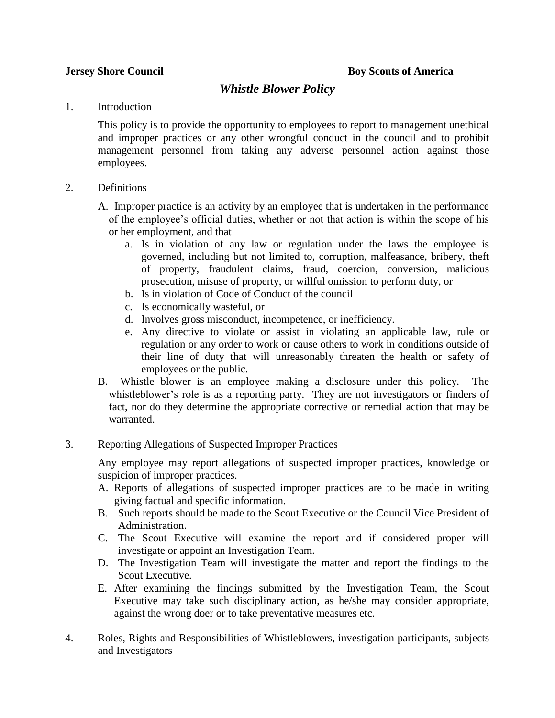## *Whistle Blower Policy*

#### 1. Introduction

This policy is to provide the opportunity to employees to report to management unethical and improper practices or any other wrongful conduct in the council and to prohibit management personnel from taking any adverse personnel action against those employees.

- 2. Definitions
	- A. Improper practice is an activity by an employee that is undertaken in the performance of the employee's official duties, whether or not that action is within the scope of his or her employment, and that
		- a. Is in violation of any law or regulation under the laws the employee is governed, including but not limited to, corruption, malfeasance, bribery, theft of property, fraudulent claims, fraud, coercion, conversion, malicious prosecution, misuse of property, or willful omission to perform duty, or
		- b. Is in violation of Code of Conduct of the council
		- c. Is economically wasteful, or
		- d. Involves gross misconduct, incompetence, or inefficiency.
		- e. Any directive to violate or assist in violating an applicable law, rule or regulation or any order to work or cause others to work in conditions outside of their line of duty that will unreasonably threaten the health or safety of employees or the public.
	- B. Whistle blower is an employee making a disclosure under this policy. The whistleblower's role is as a reporting party. They are not investigators or finders of fact, nor do they determine the appropriate corrective or remedial action that may be warranted.
- 3. Reporting Allegations of Suspected Improper Practices

Any employee may report allegations of suspected improper practices, knowledge or suspicion of improper practices.

- A. Reports of allegations of suspected improper practices are to be made in writing giving factual and specific information.
- B. Such reports should be made to the Scout Executive or the Council Vice President of Administration.
- C. The Scout Executive will examine the report and if considered proper will investigate or appoint an Investigation Team.
- D. The Investigation Team will investigate the matter and report the findings to the Scout Executive.
- E. After examining the findings submitted by the Investigation Team, the Scout Executive may take such disciplinary action, as he/she may consider appropriate, against the wrong doer or to take preventative measures etc.
- 4. Roles, Rights and Responsibilities of Whistleblowers, investigation participants, subjects and Investigators